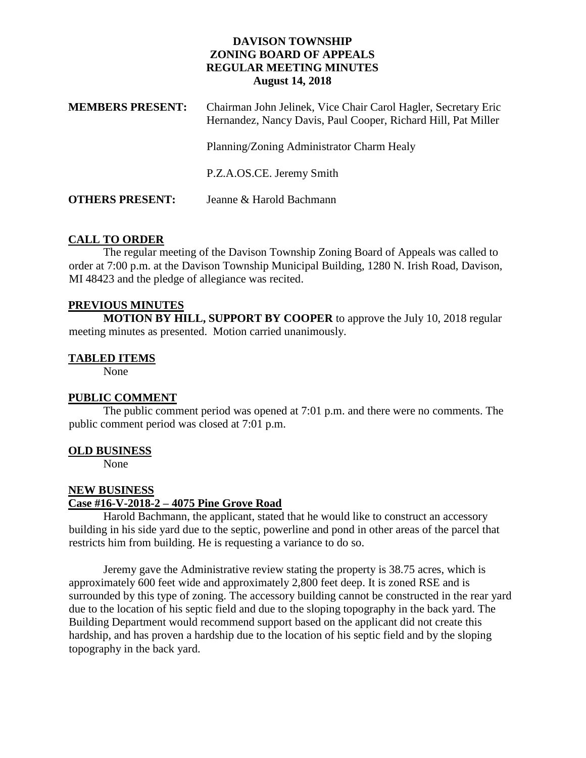## **DAVISON TOWNSHIP ZONING BOARD OF APPEALS REGULAR MEETING MINUTES August 14, 2018**

| <b>MEMBERS PRESENT:</b> | Chairman John Jelinek, Vice Chair Carol Hagler, Secretary Eric<br>Hernandez, Nancy Davis, Paul Cooper, Richard Hill, Pat Miller |
|-------------------------|---------------------------------------------------------------------------------------------------------------------------------|
|                         | Planning/Zoning Administrator Charm Healy                                                                                       |
|                         | P.Z.A.OS.CE. Jeremy Smith                                                                                                       |
| <b>OTHERS PRESENT:</b>  | Jeanne & Harold Bachmann                                                                                                        |

### **CALL TO ORDER**

The regular meeting of the Davison Township Zoning Board of Appeals was called to order at 7:00 p.m. at the Davison Township Municipal Building, 1280 N. Irish Road, Davison, MI 48423 and the pledge of allegiance was recited.

#### **PREVIOUS MINUTES**

**MOTION BY HILL, SUPPORT BY COOPER** to approve the July 10, 2018 regular meeting minutes as presented. Motion carried unanimously.

### **TABLED ITEMS**

None

# **PUBLIC COMMENT**

The public comment period was opened at 7:01 p.m. and there were no comments. The public comment period was closed at 7:01 p.m.

#### **OLD BUSINESS**

None

#### **NEW BUSINESS**

#### **Case #16-V-2018-2 – 4075 Pine Grove Road**

Harold Bachmann, the applicant, stated that he would like to construct an accessory building in his side yard due to the septic, powerline and pond in other areas of the parcel that restricts him from building. He is requesting a variance to do so.

Jeremy gave the Administrative review stating the property is 38.75 acres, which is approximately 600 feet wide and approximately 2,800 feet deep. It is zoned RSE and is surrounded by this type of zoning. The accessory building cannot be constructed in the rear yard due to the location of his septic field and due to the sloping topography in the back yard. The Building Department would recommend support based on the applicant did not create this hardship, and has proven a hardship due to the location of his septic field and by the sloping topography in the back yard.